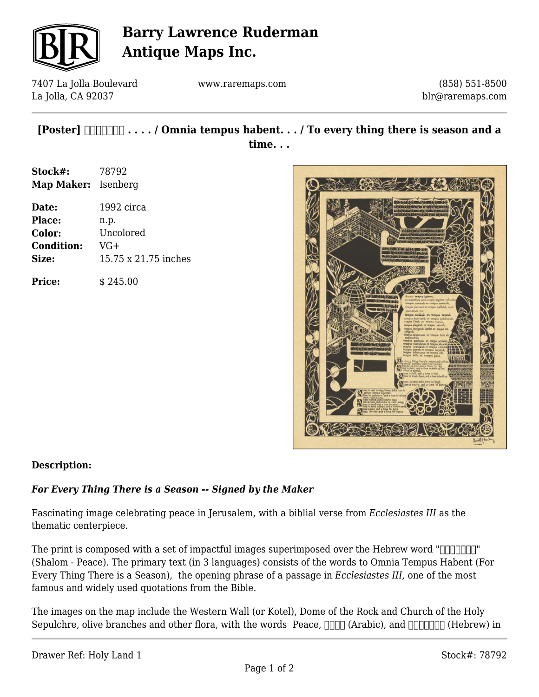

# **Barry Lawrence Ruderman Antique Maps Inc.**

7407 La Jolla Boulevard La Jolla, CA 92037

www.raremaps.com

(858) 551-8500 blr@raremaps.com

## **[Poster] םֹלוָׁש . . . . / Omnia tempus habent. . . / To every thing there is season and a time. . .**

**Stock#:** 78792 **Map Maker:** Isenberg

| Date:             | 1992 circa           |
|-------------------|----------------------|
| <b>Place:</b>     | n.p.                 |
| Color:            | Uncolored            |
| <b>Condition:</b> | $VG+$                |
| Size:             | 15.75 x 21.75 inches |
|                   |                      |

**Price:**  $\qquad$  \$ 245.00



### **Description:**

### *For Every Thing There is a Season -- Signed by the Maker*

Fascinating image celebrating peace in Jerusalem, with a biblial verse from *Ecclesiastes III* as the thematic centerpiece.

The print is composed with a set of impactful images superimposed over the Hebrew word " $\Box$ (Shalom - Peace). The primary text (in 3 languages) consists of the words to Omnia Tempus Habent (For Every Thing There is a Season), the opening phrase of a passage in *Ecclesiastes III,* one of the most famous and widely used quotations from the Bible.

The images on the map include the Western Wall (or Kotel), Dome of the Rock and Church of the Holy Sepulchre, olive branches and other flora, with the words Peace,  $\Box$  (Arabic), and  $\Box$  $\Box$  (Hebrew) in